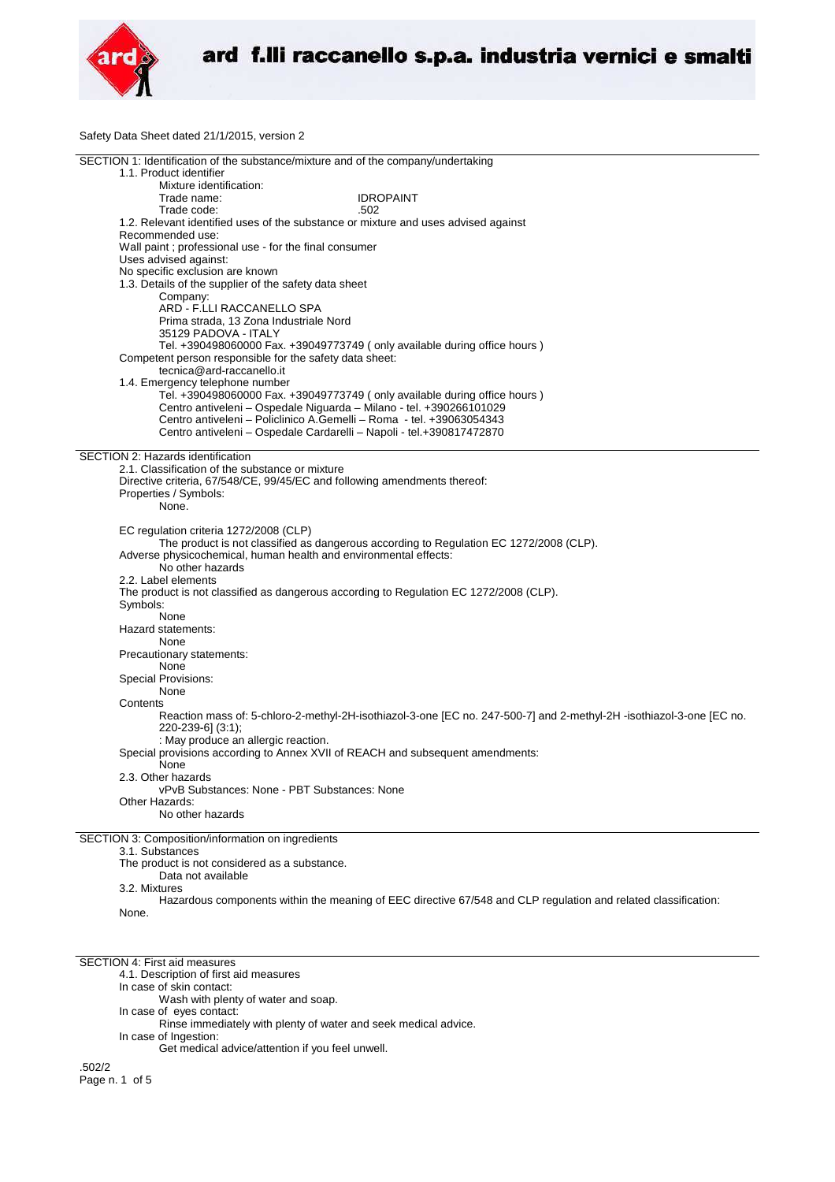

Safety Data Sheet dated 21/1/2015, version 2

| SECTION 1: Identification of the substance/mixture and of the company/undertaking                                    |  |
|----------------------------------------------------------------------------------------------------------------------|--|
| 1.1. Product identifier                                                                                              |  |
| Mixture identification:                                                                                              |  |
| Trade name:<br><b>IDROPAINT</b>                                                                                      |  |
| Trade code:<br>.502                                                                                                  |  |
| 1.2. Relevant identified uses of the substance or mixture and uses advised against                                   |  |
| Recommended use:                                                                                                     |  |
| Wall paint; professional use - for the final consumer                                                                |  |
|                                                                                                                      |  |
| Uses advised against:                                                                                                |  |
| No specific exclusion are known                                                                                      |  |
| 1.3. Details of the supplier of the safety data sheet                                                                |  |
| Company:                                                                                                             |  |
| ARD - F.LLI RACCANELLO SPA                                                                                           |  |
| Prima strada, 13 Zona Industriale Nord                                                                               |  |
| 35129 PADOVA - ITALY                                                                                                 |  |
| Tel. +390498060000 Fax. +39049773749 (only available during office hours)                                            |  |
| Competent person responsible for the safety data sheet:                                                              |  |
| tecnica@ard-raccanello.it                                                                                            |  |
| 1.4. Emergency telephone number                                                                                      |  |
| Tel. +390498060000 Fax. +39049773749 (only available during office hours)                                            |  |
| Centro antiveleni - Ospedale Niguarda - Milano - tel. +390266101029                                                  |  |
| Centro antiveleni - Policlinico A.Gemelli - Roma - tel. +39063054343                                                 |  |
| Centro antiveleni - Ospedale Cardarelli - Napoli - tel.+390817472870                                                 |  |
|                                                                                                                      |  |
| SECTION 2: Hazards identification                                                                                    |  |
| 2.1. Classification of the substance or mixture                                                                      |  |
| Directive criteria, 67/548/CE, 99/45/EC and following amendments thereof:                                            |  |
|                                                                                                                      |  |
| Properties / Symbols:                                                                                                |  |
| None.                                                                                                                |  |
|                                                                                                                      |  |
| EC regulation criteria 1272/2008 (CLP)                                                                               |  |
| The product is not classified as dangerous according to Regulation EC 1272/2008 (CLP).                               |  |
| Adverse physicochemical, human health and environmental effects:                                                     |  |
| No other hazards                                                                                                     |  |
| 2.2. Label elements                                                                                                  |  |
| The product is not classified as dangerous according to Regulation EC 1272/2008 (CLP).                               |  |
| Symbols:                                                                                                             |  |
| None                                                                                                                 |  |
| Hazard statements:                                                                                                   |  |
| None                                                                                                                 |  |
| Precautionary statements:                                                                                            |  |
| None                                                                                                                 |  |
|                                                                                                                      |  |
| <b>Special Provisions:</b>                                                                                           |  |
| None                                                                                                                 |  |
| Contents                                                                                                             |  |
| Reaction mass of: 5-chloro-2-methyl-2H-isothiazol-3-one [EC no. 247-500-7] and 2-methyl-2H -isothiazol-3-one [EC no. |  |
| 220-239-6] (3:1);                                                                                                    |  |
| : May produce an allergic reaction.                                                                                  |  |
| Special provisions according to Annex XVII of REACH and subsequent amendments:                                       |  |
| None                                                                                                                 |  |
| 2.3. Other hazards                                                                                                   |  |
| vPvB Substances: None - PBT Substances: None                                                                         |  |
| Other Hazards:                                                                                                       |  |
| No other hazards                                                                                                     |  |
|                                                                                                                      |  |
| SECTION 3: Composition/information on ingredients                                                                    |  |
| 3.1. Substances                                                                                                      |  |
| The product is not considered as a substance.                                                                        |  |
| Data not available                                                                                                   |  |
| 3.2. Mixtures                                                                                                        |  |
|                                                                                                                      |  |
| Hazardous components within the meaning of EEC directive 67/548 and CLP regulation and related classification:       |  |
| None.                                                                                                                |  |

SECTION 4: First aid measures

4.1. Description of first aid measures

In case of skin contact:

Wash with plenty of water and soap.

In case of eyes contact:

Rinse immediately with plenty of water and seek medical advice.

In case of Ingestion: Get medical advice/attention if you feel unwell.

.502/2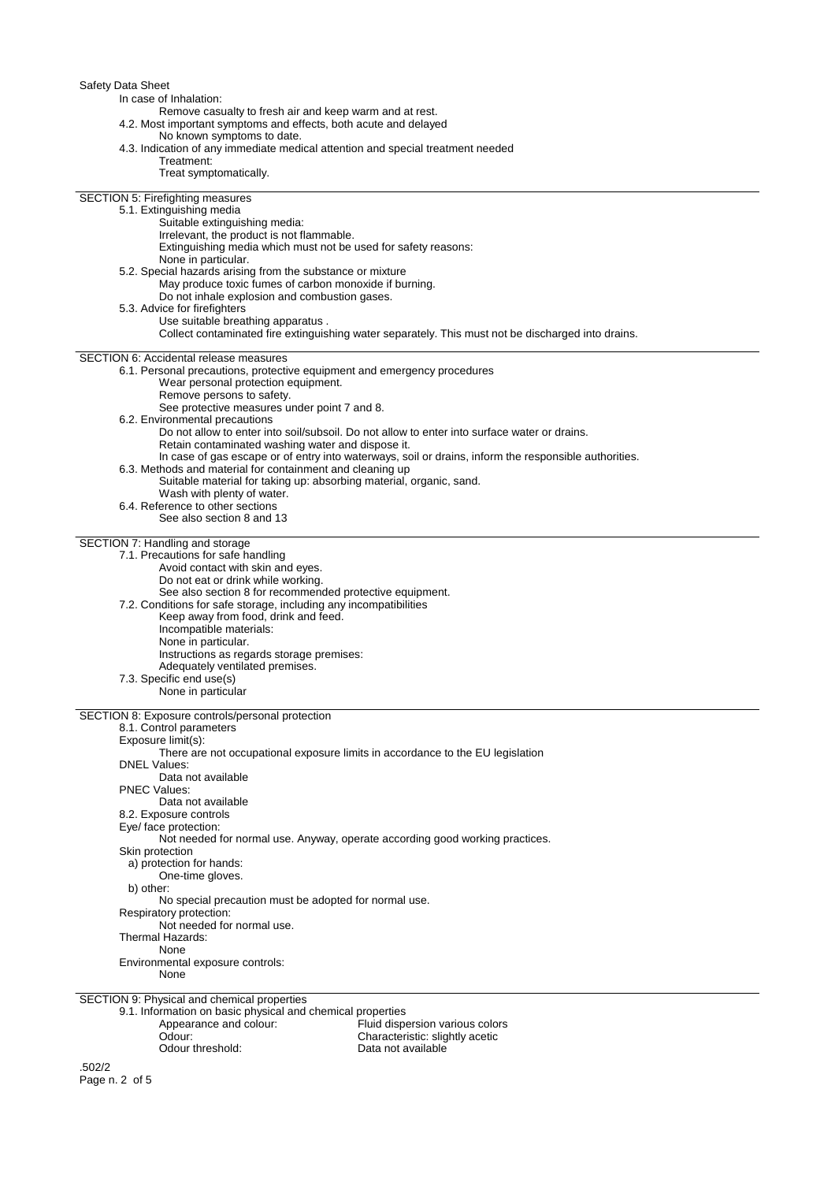| Safety Data Sheet<br>In case of Inhalation:<br>Remove casualty to fresh air and keep warm and at rest.<br>4.2. Most important symptoms and effects, both acute and delayed                                                                                                                                                                                                                                                                                                                                                                                                                                                                                                                 |
|--------------------------------------------------------------------------------------------------------------------------------------------------------------------------------------------------------------------------------------------------------------------------------------------------------------------------------------------------------------------------------------------------------------------------------------------------------------------------------------------------------------------------------------------------------------------------------------------------------------------------------------------------------------------------------------------|
| No known symptoms to date.<br>4.3. Indication of any immediate medical attention and special treatment needed<br>Treatment:<br>Treat symptomatically.                                                                                                                                                                                                                                                                                                                                                                                                                                                                                                                                      |
| <b>SECTION 5: Firefighting measures</b><br>5.1. Extinguishing media<br>Suitable extinguishing media:<br>Irrelevant, the product is not flammable.<br>Extinguishing media which must not be used for safety reasons:<br>None in particular.                                                                                                                                                                                                                                                                                                                                                                                                                                                 |
| 5.2. Special hazards arising from the substance or mixture<br>May produce toxic fumes of carbon monoxide if burning.<br>Do not inhale explosion and combustion gases.<br>5.3. Advice for firefighters<br>Use suitable breathing apparatus.                                                                                                                                                                                                                                                                                                                                                                                                                                                 |
| Collect contaminated fire extinguishing water separately. This must not be discharged into drains.                                                                                                                                                                                                                                                                                                                                                                                                                                                                                                                                                                                         |
| <b>SECTION 6: Accidental release measures</b><br>6.1. Personal precautions, protective equipment and emergency procedures<br>Wear personal protection equipment.<br>Remove persons to safety.<br>See protective measures under point 7 and 8.                                                                                                                                                                                                                                                                                                                                                                                                                                              |
| 6.2. Environmental precautions<br>Do not allow to enter into soil/subsoil. Do not allow to enter into surface water or drains.<br>Retain contaminated washing water and dispose it.<br>In case of gas escape or of entry into waterways, soil or drains, inform the responsible authorities.                                                                                                                                                                                                                                                                                                                                                                                               |
| 6.3. Methods and material for containment and cleaning up<br>Suitable material for taking up: absorbing material, organic, sand.<br>Wash with plenty of water.                                                                                                                                                                                                                                                                                                                                                                                                                                                                                                                             |
| 6.4. Reference to other sections<br>See also section 8 and 13                                                                                                                                                                                                                                                                                                                                                                                                                                                                                                                                                                                                                              |
| SECTION 7: Handling and storage<br>7.1. Precautions for safe handling<br>Avoid contact with skin and eyes.<br>Do not eat or drink while working.<br>See also section 8 for recommended protective equipment.<br>7.2. Conditions for safe storage, including any incompatibilities<br>Keep away from food, drink and feed.<br>Incompatible materials:<br>None in particular.<br>Instructions as regards storage premises:<br>Adequately ventilated premises.<br>7.3. Specific end use(s)<br>None in particular                                                                                                                                                                              |
| SECTION 8: Exposure controls/personal protection<br>8.1. Control parameters<br>Exposure limit(s):<br>There are not occupational exposure limits in accordance to the EU legislation<br><b>DNEL Values:</b><br>Data not available<br><b>PNEC Values:</b><br>Data not available<br>8.2. Exposure controls<br>Eye/ face protection:<br>Not needed for normal use. Anyway, operate according good working practices.<br>Skin protection<br>a) protection for hands:<br>One-time gloves.<br>b) other:<br>No special precaution must be adopted for normal use.<br>Respiratory protection:<br>Not needed for normal use.<br>Thermal Hazards:<br>None<br>Environmental exposure controls:<br>None |
| SECTION 9: Physical and chemical properties<br>9.1. Information on basic physical and chemical properties<br>Appearance and colour:<br>Fluid dispersion various colors<br>Odour:<br>Characteristic: slightly acetic<br>Odour threshold:<br>Data not available                                                                                                                                                                                                                                                                                                                                                                                                                              |
| .502/2                                                                                                                                                                                                                                                                                                                                                                                                                                                                                                                                                                                                                                                                                     |

Page n. 2 of 5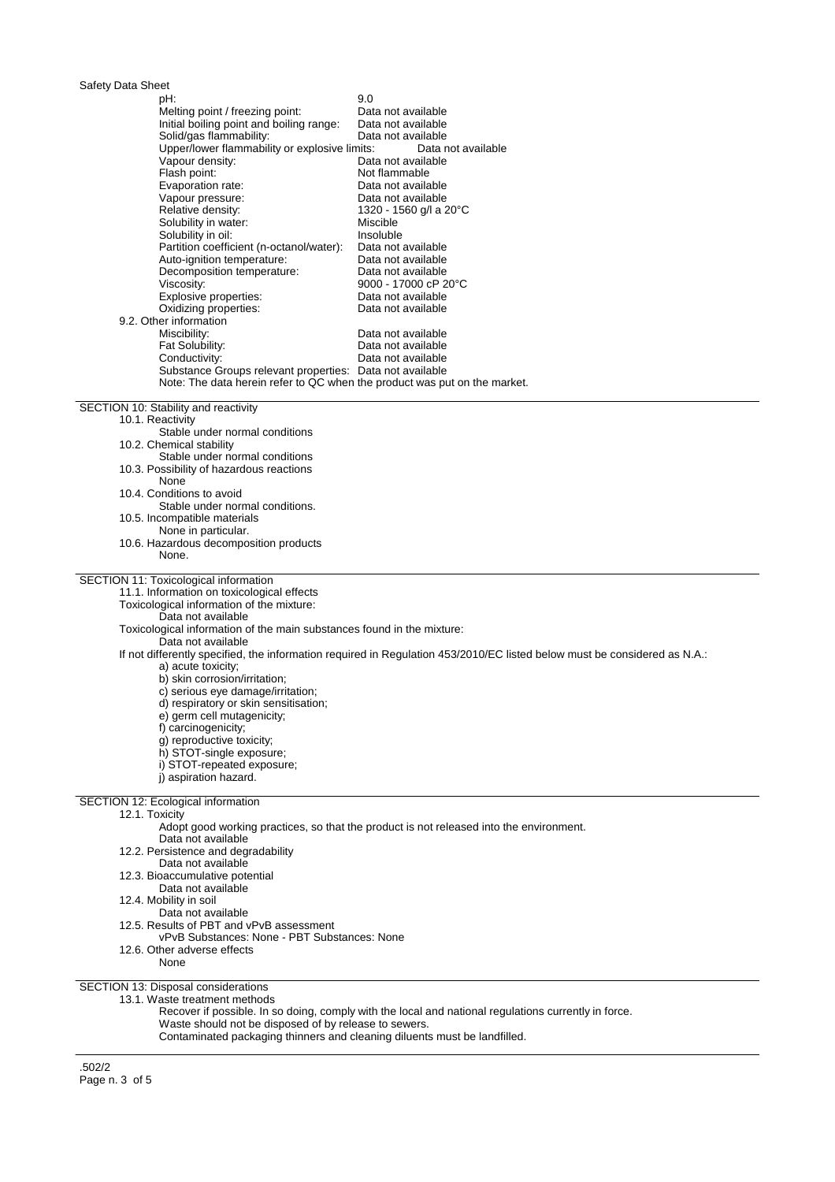| Safety Data Sheet<br>pH:                                                                                                              | 9.0                                                                                                                       |
|---------------------------------------------------------------------------------------------------------------------------------------|---------------------------------------------------------------------------------------------------------------------------|
| Melting point / freezing point:                                                                                                       | Data not available                                                                                                        |
| Initial boiling point and boiling range:                                                                                              | Data not available                                                                                                        |
| Solid/gas flammability:                                                                                                               | Data not available                                                                                                        |
| Upper/lower flammability or explosive limits:                                                                                         | Data not available                                                                                                        |
| Vapour density:                                                                                                                       | Data not available                                                                                                        |
| Flash point:                                                                                                                          | Not flammable                                                                                                             |
| Evaporation rate:<br>Vapour pressure:                                                                                                 | Data not available<br>Data not available                                                                                  |
| Relative density:                                                                                                                     | 1320 - 1560 g/l a 20°C                                                                                                    |
| Solubility in water:                                                                                                                  | Miscible                                                                                                                  |
| Solubility in oil:                                                                                                                    | Insoluble                                                                                                                 |
| Partition coefficient (n-octanol/water):                                                                                              | Data not available                                                                                                        |
| Auto-ignition temperature:                                                                                                            | Data not available                                                                                                        |
| Decomposition temperature:<br>Viscosity:                                                                                              | Data not available<br>9000 - 17000 cP 20°C                                                                                |
| Explosive properties:                                                                                                                 | Data not available                                                                                                        |
| Oxidizing properties:                                                                                                                 | Data not available                                                                                                        |
| 9.2. Other information                                                                                                                |                                                                                                                           |
| Miscibility:                                                                                                                          | Data not available                                                                                                        |
| Fat Solubility:                                                                                                                       | Data not available                                                                                                        |
| Conductivity:                                                                                                                         | Data not available                                                                                                        |
| Substance Groups relevant properties: Data not available<br>Note: The data herein refer to QC when the product was put on the market. |                                                                                                                           |
|                                                                                                                                       |                                                                                                                           |
| SECTION 10: Stability and reactivity                                                                                                  |                                                                                                                           |
| 10.1. Reactivity                                                                                                                      |                                                                                                                           |
| Stable under normal conditions<br>10.2. Chemical stability                                                                            |                                                                                                                           |
| Stable under normal conditions                                                                                                        |                                                                                                                           |
| 10.3. Possibility of hazardous reactions                                                                                              |                                                                                                                           |
| None                                                                                                                                  |                                                                                                                           |
| 10.4. Conditions to avoid                                                                                                             |                                                                                                                           |
| Stable under normal conditions.                                                                                                       |                                                                                                                           |
| 10.5. Incompatible materials<br>None in particular.                                                                                   |                                                                                                                           |
| 10.6. Hazardous decomposition products                                                                                                |                                                                                                                           |
| None.                                                                                                                                 |                                                                                                                           |
|                                                                                                                                       |                                                                                                                           |
| SECTION 11: Toxicological information<br>11.1. Information on toxicological effects                                                   |                                                                                                                           |
| Toxicological information of the mixture:                                                                                             |                                                                                                                           |
| Data not available                                                                                                                    |                                                                                                                           |
| Toxicological information of the main substances found in the mixture:                                                                |                                                                                                                           |
| Data not available                                                                                                                    |                                                                                                                           |
|                                                                                                                                       | If not differently specified, the information required in Regulation 453/2010/EC listed below must be considered as N.A.: |
| a) acute toxicity;<br>b) skin corrosion/irritation;                                                                                   |                                                                                                                           |
| c) serious eye damage/irritation;                                                                                                     |                                                                                                                           |
| d) respiratory or skin sensitisation;                                                                                                 |                                                                                                                           |
| e) germ cell mutagenicity;                                                                                                            |                                                                                                                           |
| f) carcinogenicity;                                                                                                                   |                                                                                                                           |
| q) reproductive toxicity;                                                                                                             |                                                                                                                           |
| h) STOT-single exposure;<br>i) STOT-repeated exposure;                                                                                |                                                                                                                           |
| i) aspiration hazard.                                                                                                                 |                                                                                                                           |
|                                                                                                                                       |                                                                                                                           |
| SECTION 12: Ecological information                                                                                                    |                                                                                                                           |
| 12.1. Toxicity                                                                                                                        | Adopt good working practices, so that the product is not released into the environment.                                   |
| Data not available                                                                                                                    |                                                                                                                           |
| 12.2. Persistence and degradability                                                                                                   |                                                                                                                           |
| Data not available                                                                                                                    |                                                                                                                           |
| 12.3. Bioaccumulative potential                                                                                                       |                                                                                                                           |
| Data not available                                                                                                                    |                                                                                                                           |
| 12.4. Mobility in soil<br>Data not available                                                                                          |                                                                                                                           |
| 12.5. Results of PBT and vPvB assessment                                                                                              |                                                                                                                           |
| vPvB Substances: None - PBT Substances: None                                                                                          |                                                                                                                           |
| 12.6. Other adverse effects                                                                                                           |                                                                                                                           |
| None                                                                                                                                  |                                                                                                                           |
|                                                                                                                                       |                                                                                                                           |
| SECTION 13: Disposal considerations                                                                                                   |                                                                                                                           |

13.1. Waste treatment methods

Recover if possible. In so doing, comply with the local and national regulations currently in force.

Waste should not be disposed of by release to sewers.

Contaminated packaging thinners and cleaning diluents must be landfilled.

.502/2 Page n. 3 of 5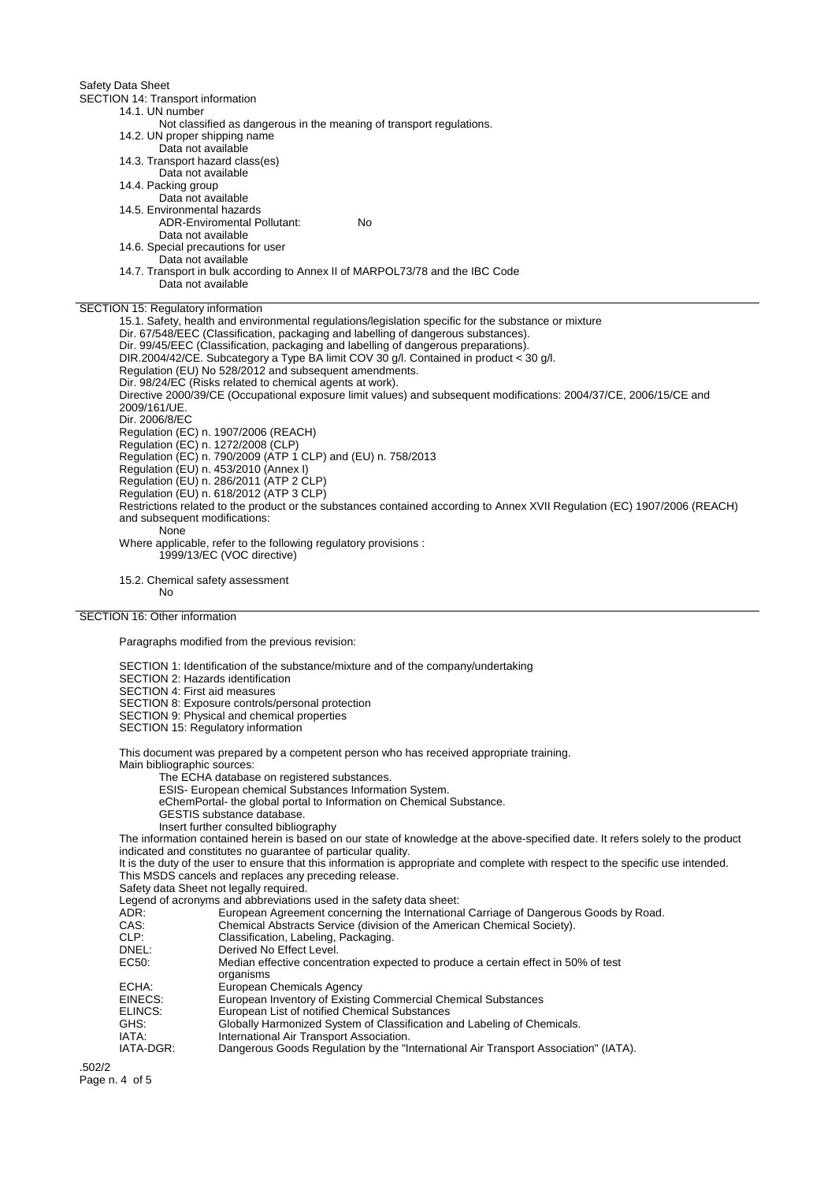Safety Data Sheet

SECTION 14: Transport information

14.1. UN number Not classified as dangerous in the meaning of transport regulations.

14.2. UN proper shipping name

- Data not available
- 14.3. Transport hazard class(es)
- Data not available
- 14.4. Packing group
- Data not available
- 14.5. Environmental hazards
	- ADR-Enviromental Pollutant: No
	- Data not available
		-
- 14.6. Special precautions for user Data not available
- 14.7. Transport in bulk according to Annex II of MARPOL73/78 and the IBC Code Data not available
- 

## SECTION 15: Regulatory information

15.1. Safety, health and environmental regulations/legislation specific for the substance or mixture Dir. 67/548/EEC (Classification, packaging and labelling of dangerous substances). Dir. 99/45/EEC (Classification, packaging and labelling of dangerous preparations). DIR.2004/42/CE. Subcategory a Type BA limit COV 30 g/l. Contained in product < 30 g/l. Regulation (EU) No 528/2012 and subsequent amendments. Dir. 98/24/EC (Risks related to chemical agents at work). Directive 2000/39/CE (Occupational exposure limit values) and subsequent modifications: 2004/37/CE, 2006/15/CE and 2009/161/UE. Dir. 2006/8/EC Regulation (EC) n. 1907/2006 (REACH) Regulation (EC) n. 1272/2008 (CLP) Regulation (EC) n. 790/2009 (ATP 1 CLP) and (EU) n. 758/2013 Regulation (EU) n. 453/2010 (Annex I) Regulation (EU) n. 286/2011 (ATP 2 CLP) Regulation (EU) n. 618/2012 (ATP 3 CLP) Restrictions related to the product or the substances contained according to Annex XVII Regulation (EC) 1907/2006 (REACH) and subsequent modifications: None Where applicable, refer to the following regulatory provisions : 1999/13/EC (VOC directive)

15.2. Chemical safety assessment

## No

## SECTION 16: Other information

Paragraphs modified from the previous revision:

- SECTION 1: Identification of the substance/mixture and of the company/undertaking
- SECTION 2: Hazards identification

SECTION 4: First aid measures

- SECTION 8: Exposure controls/personal protection
- SECTION 9: Physical and chemical properties
- SECTION 15: Regulatory information

This document was prepared by a competent person who has received appropriate training.

Main bibliographic sources:

The ECHA database on registered substances.

- ESIS- European chemical Substances Information System.
- eChemPortal- the global portal to Information on Chemical Substance.
- GESTIS substance database.
- Insert further consulted bibliography

The information contained herein is based on our state of knowledge at the above-specified date. It refers solely to the product indicated and constitutes no guarantee of particular quality.

It is the duty of the user to ensure that this information is appropriate and complete with respect to the specific use intended. This MSDS cancels and replaces any preceding release.

Safety data Sheet not legally required.

Legend of acronyms and abbreviations used in the safety data sheet:<br>ADR: European Agreement concerning the Internationa

- ADR: European Agreement concerning the International Carriage of Dangerous Goods by Road.<br>CAS: Chemical Abstracts Service (division of the American Chemical Society).
	- Chemical Abstracts Service (division of the American Chemical Society).
- CLP: Classification, Labeling, Packaging.<br>
Derived No Fffect Level.
- DNEL:<br>
Derived No Effect Level.<br>
EC50: Median effective concer
	- Median effective concentration expected to produce a certain effect in 50% of test organisms
- ECHA: European Chemicals Agency<br>EINECS: European Inventory of Existin
- EINECS: European Inventory of Existing Commercial Chemical Substances<br>ELINCS: European List of notified Chemical Substances
- European List of notified Chemical Substances
- GHS: Globally Harmonized System of Classification and Labeling of Chemicals.<br>
IATA: International Air Transport Association.
- IATA: International Air Transport Association.<br>IATA-DGR: Dangerous Goods Regulation by the "In
- Dangerous Goods Regulation by the "International Air Transport Association" (IATA).

.502/2 Page n. 4 of 5